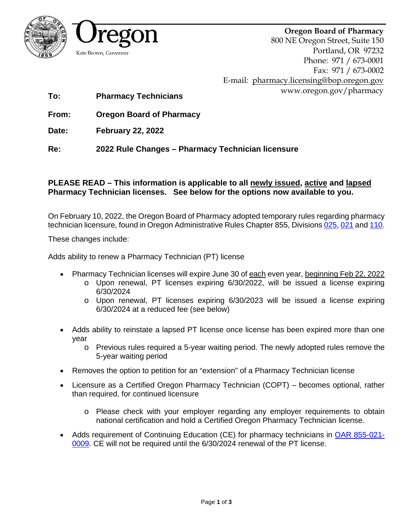

8



800 NE Oregon Street, Suite 150 Portland, OR 97232 Phone: 971 / 673-0001 Fax: 971 / 673-0002 E-mail: [pharmacy.licensing@bop.oregon.gov](mailto:pharmacy.licensing@bop.oregon.gov) www.oregon.gov/pharmacy

**To: Pharmacy Technicians**

**From: Oregon Board of Pharmacy** 

**Date: February 22, 2022**

**Re: 2022 Rule Changes – Pharmacy Technician licensure**

#### **PLEASE READ – This information is applicable to all newly issued, active and lapsed Pharmacy Technician licenses. See below for the options now available to you.**

On February 10, 2022, the Oregon Board of Pharmacy adopted temporary rules regarding pharmacy technician licensure, found in Oregon Administrative Rules Chapter 855, Divisions [025,](https://secure.sos.state.or.us/oard/displayDivisionRules.action;?selectedDivision=3970) [021](https://secure.sos.state.or.us/oard/displayDivisionRules.action?selectedDivision=3969) an[d 110.](https://secure.sos.state.or.us/oard/displayDivisionRules.action?selectedDivision=3989)

These changes include:

Adds ability to renew a Pharmacy Technician (PT) license

- Pharmacy Technician licenses will expire June 30 of each even year, beginning Feb 22, 2022
	- o Upon renewal, PT licenses expiring 6/30/2022, will be issued a license expiring 6/30/2024
	- o Upon renewal, PT licenses expiring 6/30/2023 will be issued a license expiring 6/30/2024 at a reduced fee (see below)
- Adds ability to reinstate a lapsed PT license once license has been expired more than one year
	- o Previous rules required a 5-year waiting period. The newly adopted rules remove the 5-year waiting period
- Removes the option to petition for an "extension" of a Pharmacy Technician license
- Licensure as a Certified Oregon Pharmacy Technician (COPT) becomes optional, rather than required, for continued licensure
	- o Please check with your employer regarding any employer requirements to obtain national certification and hold a Certified Oregon Pharmacy Technician license.
- Adds requirement of Continuing Education (CE) for pharmacy technicians in OAR [855-021-](https://secure.sos.state.or.us/oard/displayDivisionRules.action?selectedDivision=3969) [0009.](https://secure.sos.state.or.us/oard/displayDivisionRules.action?selectedDivision=3969) CE will not be required until the 6/30/2024 renewal of the PT license.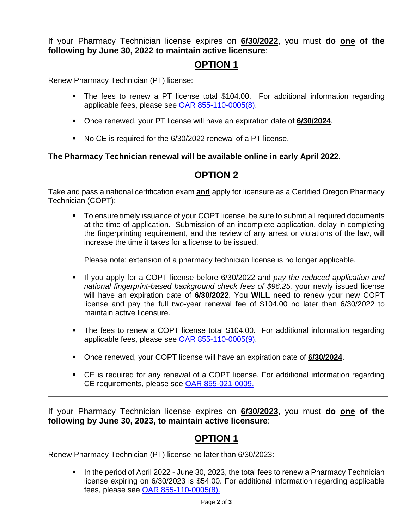If your Pharmacy Technician license expires on **6/30/2022**, you must **do one of the following by June 30, 2022 to maintain active licensure**:

#### **OPTION 1**

Renew Pharmacy Technician (PT) license:

- The fees to renew a PT license total \$104.00. For additional information regarding applicable fees, please see [OAR 855-110-0005\(8\).](https://secure.sos.state.or.us/oard/displayDivisionRules.action?selectedDivision=3989)
- Once renewed, your PT license will have an expiration date of **6/30/2024**.
- No CE is required for the 6/30/2022 renewal of a PT license.

#### **The Pharmacy Technician renewal will be available online in early April 2022.**

## **OPTION 2**

Take and pass a national certification exam **and** apply for licensure as a Certified Oregon Pharmacy Technician (COPT):

• To ensure timely issuance of your COPT license, be sure to submit all required documents at the time of application. Submission of an incomplete application, delay in completing the fingerprinting requirement, and the review of any arrest or violations of the law, will increase the time it takes for a license to be issued.

Please note: extension of a pharmacy technician license is no longer applicable.

- If you apply for a COPT license before 6/30/2022 and *pay the reduced application and national fingerprint-based background check fees of \$96.25,* your newly issued license will have an expiration date of **6/30/2022**. You **WILL** need to renew your new COPT license and pay the full two-year renewal fee of \$104.00 no later than 6/30/2022 to maintain active licensure.
- The fees to renew a COPT license total \$104.00. For additional information regarding applicable fees, please see [OAR 855-110-0005\(9\).](https://secure.sos.state.or.us/oard/displayDivisionRules.action?selectedDivision=3989)
- Once renewed, your COPT license will have an expiration date of **6/30/2024**.
- CE is required for any renewal of a COPT license. For additional information regarding CE requirements, please see [OAR 855-021-0009.](https://secure.sos.state.or.us/oard/displayDivisionRules.action?selectedDivision=3969)

If your Pharmacy Technician license expires on **6/30/2023**, you must **do one of the following by June 30, 2023, to maintain active licensure**:

## **OPTION 1**

Renew Pharmacy Technician (PT) license no later than 6/30/2023:

In the period of April 2022 - June 30, 2023, the total fees to renew a Pharmacy Technician license expiring on 6/30/2023 is \$54.00. For additional information regarding applicable fees, please see [OAR 855-110-0005\(8\).](https://secure.sos.state.or.us/oard/displayDivisionRules.action?selectedDivision=3989)